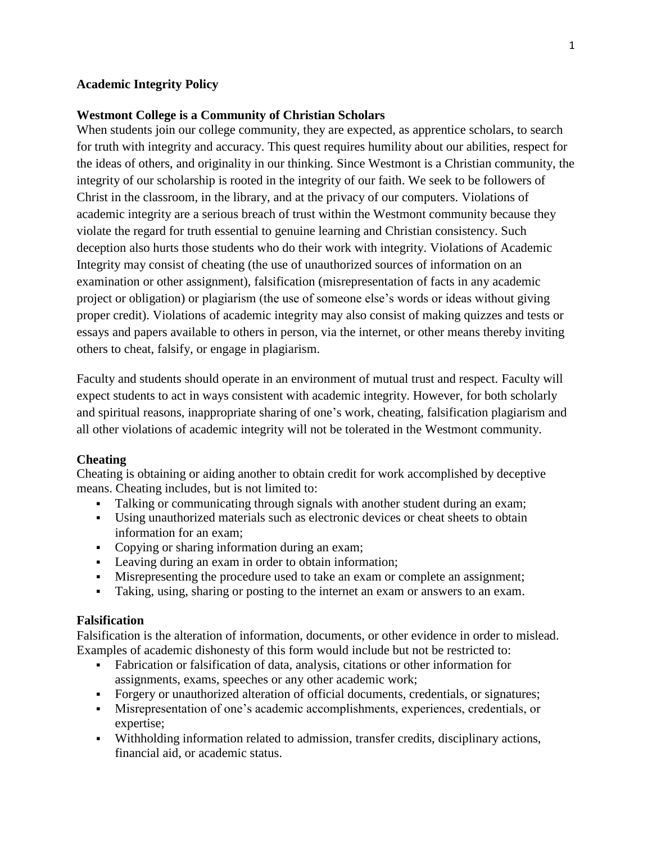# **Academic Integrity Policy**

### **Westmont College is a Community of Christian Scholars**

When students join our college community, they are expected, as apprentice scholars, to search for truth with integrity and accuracy. This quest requires humility about our abilities, respect for the ideas of others, and originality in our thinking. Since Westmont is a Christian community, the integrity of our scholarship is rooted in the integrity of our faith. We seek to be followers of Christ in the classroom, in the library, and at the privacy of our computers. Violations of academic integrity are a serious breach of trust within the Westmont community because they violate the regard for truth essential to genuine learning and Christian consistency. Such deception also hurts those students who do their work with integrity. Violations of Academic Integrity may consist of cheating (the use of unauthorized sources of information on an examination or other assignment), falsification (misrepresentation of facts in any academic project or obligation) or plagiarism (the use of someone else's words or ideas without giving proper credit). Violations of academic integrity may also consist of making quizzes and tests or essays and papers available to others in person, via the internet, or other means thereby inviting others to cheat, falsify, or engage in plagiarism.

Faculty and students should operate in an environment of mutual trust and respect. Faculty will expect students to act in ways consistent with academic integrity. However, for both scholarly and spiritual reasons, inappropriate sharing of one's work, cheating, falsification plagiarism and all other violations of academic integrity will not be tolerated in the Westmont community.

### **Cheating**

Cheating is obtaining or aiding another to obtain credit for work accomplished by deceptive means. Cheating includes, but is not limited to:

- Talking or communicating through signals with another student during an exam;
- Using unauthorized materials such as electronic devices or cheat sheets to obtain information for an exam;
- Copying or sharing information during an exam;
- Leaving during an exam in order to obtain information;
- Misrepresenting the procedure used to take an exam or complete an assignment;
- Taking, using, sharing or posting to the internet an exam or answers to an exam.

### **Falsification**

Falsification is the alteration of information, documents, or other evidence in order to mislead. Examples of academic dishonesty of this form would include but not be restricted to:

- Fabrication or falsification of data, analysis, citations or other information for assignments, exams, speeches or any other academic work;
- Forgery or unauthorized alteration of official documents, credentials, or signatures;
- Misrepresentation of one's academic accomplishments, experiences, credentials, or expertise;
- Withholding information related to admission, transfer credits, disciplinary actions, financial aid, or academic status.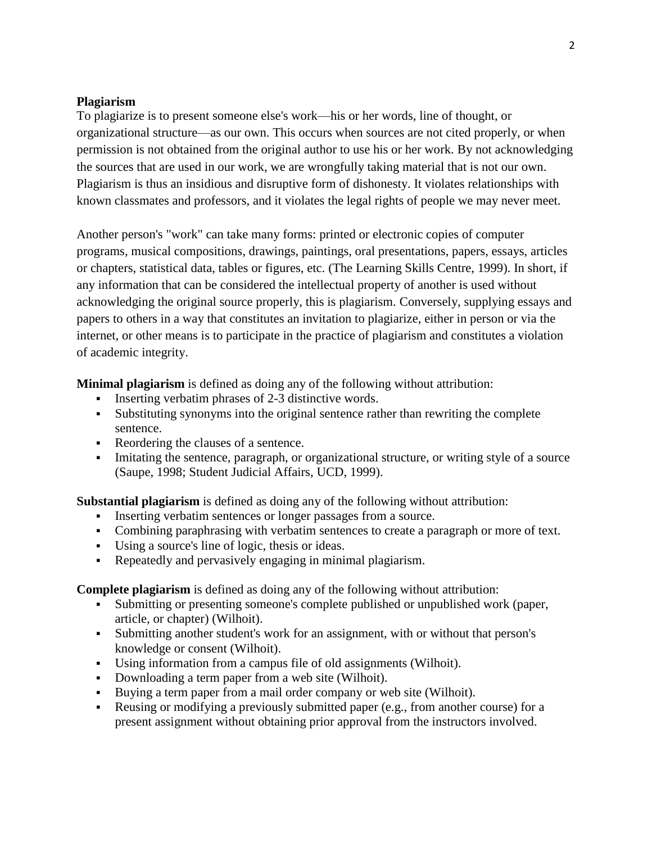# **Plagiarism**

To plagiarize is to present someone else's work—his or her words, line of thought, or organizational structure—as our own. This occurs when sources are not cited properly, or when permission is not obtained from the original author to use his or her work. By not acknowledging the sources that are used in our work, we are wrongfully taking material that is not our own. Plagiarism is thus an insidious and disruptive form of dishonesty. It violates relationships with known classmates and professors, and it violates the legal rights of people we may never meet.

Another person's "work" can take many forms: printed or electronic copies of computer programs, musical compositions, drawings, paintings, oral presentations, papers, essays, articles or chapters, statistical data, tables or figures, etc. (The Learning Skills Centre, 1999). In short, if any information that can be considered the intellectual property of another is used without acknowledging the original source properly, this is plagiarism. Conversely, supplying essays and papers to others in a way that constitutes an invitation to plagiarize, either in person or via the internet, or other means is to participate in the practice of plagiarism and constitutes a violation of academic integrity.

**Minimal plagiarism** is defined as doing any of the following without attribution:

- Inserting verbatim phrases of 2-3 distinctive words.
- Substituting synonyms into the original sentence rather than rewriting the complete sentence.
- Reordering the clauses of a sentence.
- Imitating the sentence, paragraph, or organizational structure, or writing style of a source (Saupe, 1998; Student Judicial Affairs, UCD, 1999).

**Substantial plagiarism** is defined as doing any of the following without attribution:

- Inserting verbatim sentences or longer passages from a source.
- Combining paraphrasing with verbatim sentences to create a paragraph or more of text.
- Using a source's line of logic, thesis or ideas.
- Repeatedly and pervasively engaging in minimal plagiarism.

**Complete plagiarism** is defined as doing any of the following without attribution:

- Submitting or presenting someone's complete published or unpublished work (paper, article, or chapter) (Wilhoit).
- Submitting another student's work for an assignment, with or without that person's knowledge or consent (Wilhoit).
- Using information from a campus file of old assignments (Wilhoit).
- Downloading a term paper from a web site (Wilhoit).
- Buying a term paper from a mail order company or web site (Wilhoit).
- Reusing or modifying a previously submitted paper (e.g., from another course) for a present assignment without obtaining prior approval from the instructors involved.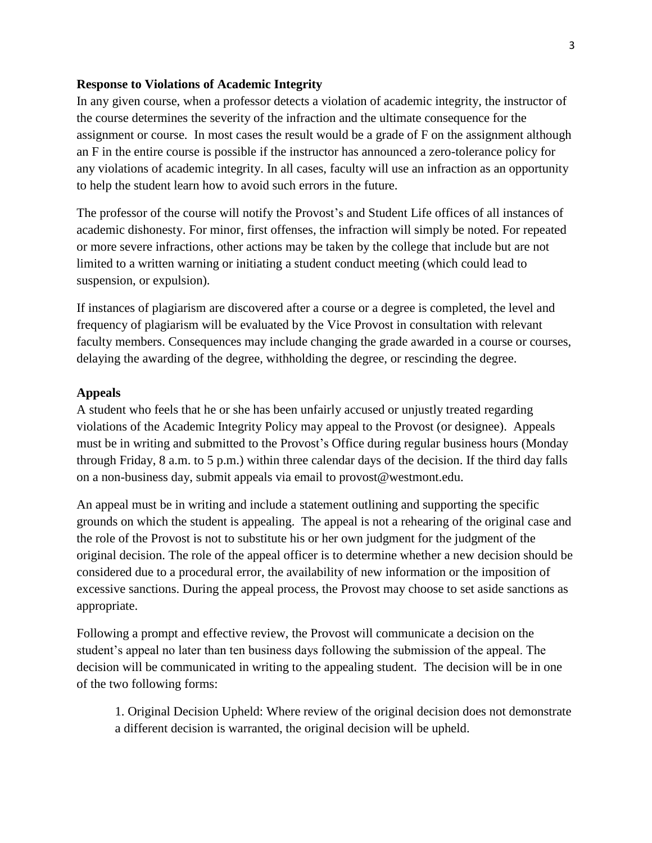# **Response to Violations of Academic Integrity**

In any given course, when a professor detects a violation of academic integrity, the instructor of the course determines the severity of the infraction and the ultimate consequence for the assignment or course. In most cases the result would be a grade of F on the assignment although an F in the entire course is possible if the instructor has announced a zero-tolerance policy for any violations of academic integrity. In all cases, faculty will use an infraction as an opportunity to help the student learn how to avoid such errors in the future.

The professor of the course will notify the Provost's and Student Life offices of all instances of academic dishonesty. For minor, first offenses, the infraction will simply be noted. For repeated or more severe infractions, other actions may be taken by the college that include but are not limited to a written warning or initiating a student conduct meeting (which could lead to suspension, or expulsion).

If instances of plagiarism are discovered after a course or a degree is completed, the level and frequency of plagiarism will be evaluated by the Vice Provost in consultation with relevant faculty members. Consequences may include changing the grade awarded in a course or courses, delaying the awarding of the degree, withholding the degree, or rescinding the degree.

#### **Appeals**

A student who feels that he or she has been unfairly accused or unjustly treated regarding violations of the Academic Integrity Policy may appeal to the Provost (or designee). Appeals must be in writing and submitted to the Provost's Office during regular business hours (Monday through Friday, 8 a.m. to 5 p.m.) within three calendar days of the decision. If the third day falls on a non-business day, submit appeals via email to provost@westmont.edu.

An appeal must be in writing and include a statement outlining and supporting the specific grounds on which the student is appealing. The appeal is not a rehearing of the original case and the role of the Provost is not to substitute his or her own judgment for the judgment of the original decision. The role of the appeal officer is to determine whether a new decision should be considered due to a procedural error, the availability of new information or the imposition of excessive sanctions. During the appeal process, the Provost may choose to set aside sanctions as appropriate.

Following a prompt and effective review, the Provost will communicate a decision on the student's appeal no later than ten business days following the submission of the appeal. The decision will be communicated in writing to the appealing student. The decision will be in one of the two following forms:

1. Original Decision Upheld: Where review of the original decision does not demonstrate a different decision is warranted, the original decision will be upheld.